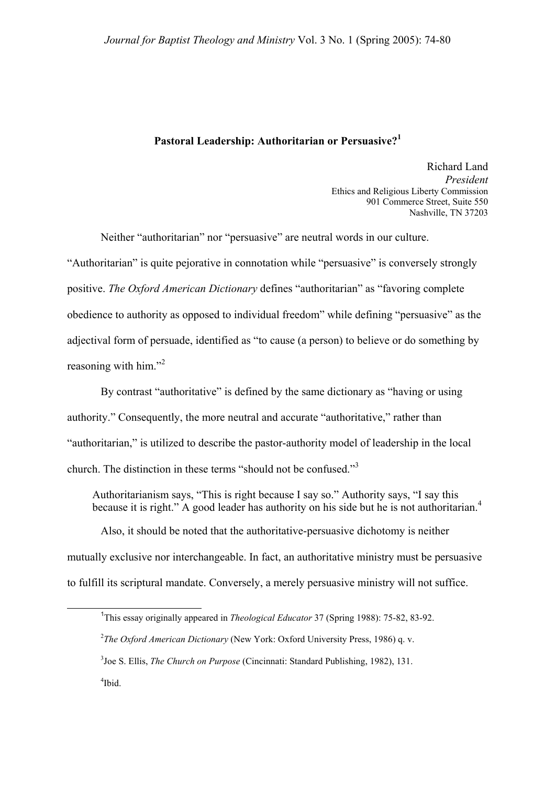## **Pastoral Leadership: Authoritarian or Persuasive?[1](#page-0-0)**

Richard Land *President*  Ethics and Religious Liberty Commission 901 Commerce Street, Suite 550 Nashville, TN 37203

Neither "authoritarian" nor "persuasive" are neutral words in our culture. "Authoritarian" is quite pejorative in connotation while "persuasive" is conversely strongly positive. *The Oxford American Dictionary* defines "authoritarian" as "favoring complete obedience to authority as opposed to individual freedom" while defining "persuasive" as the adjectival form of persuade, identified as "to cause (a person) to believe or do something by reasoningwith him."<sup>2</sup>

By contrast "authoritative" is defined by the same dictionary as "having or using authority." Consequently, the more neutral and accurate "authoritative," rather than "authoritarian," is utilized to describe the pastor-authority model of leadership in the local church. The distinction in these terms "should not be confused."[3](#page-0-2)

Authoritarianism says, "This is right because I say so." Authority says, "I say this because it is right." A good leader has authority on his side but he is not authoritarian.<sup>[4](#page-0-3)</sup>

 Also, it should be noted that the authoritative-persuasive dichotomy is neither mutually exclusive nor interchangeable. In fact, an authoritative ministry must be persuasive to fulfill its scriptural mandate. Conversely, a merely persuasive ministry will not suffice.

<span id="page-0-3"></span>4 Ibid.

 $\overline{\phantom{a}}$  1 <sup>1</sup>This essay originally appeared in *Theological Educator* 37 (Spring 1988): 75-82, 83-92.

<span id="page-0-1"></span><span id="page-0-0"></span><sup>2</sup> *The Oxford American Dictionary* (New York: Oxford University Press, 1986) q. v.

<span id="page-0-2"></span><sup>3</sup> Joe S. Ellis, *The Church on Purpose* (Cincinnati: Standard Publishing, 1982), 131.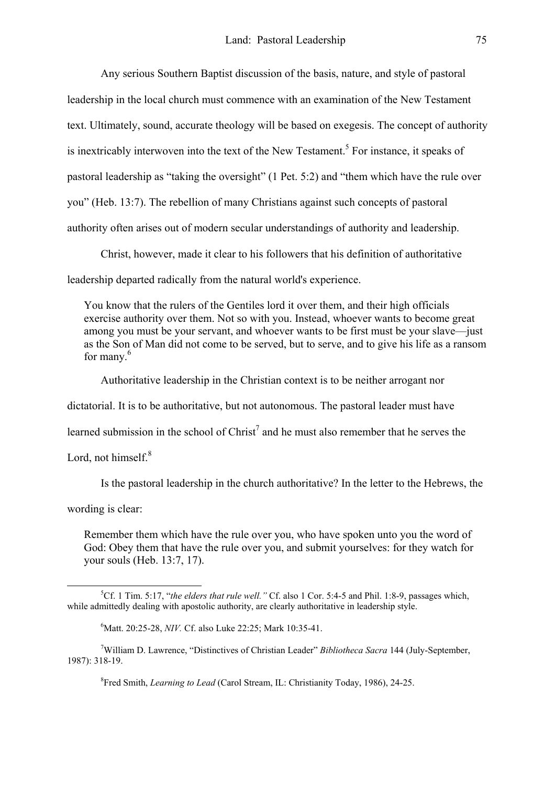Any serious Southern Baptist discussion of the basis, nature, and style of pastoral leadership in the local church must commence with an examination of the New Testament text. Ultimately, sound, accurate theology will be based on exegesis. The concept of authority is inextricably interwoven into the text of the New Testament.<sup>[5](#page-1-0)</sup> For instance, it speaks of pastoral leadership as "taking the oversight" (1 Pet. 5:2) and "them which have the rule over you" (Heb. 13:7). The rebellion of many Christians against such concepts of pastoral authority often arises out of modern secular understandings of authority and leadership.

Christ, however, made it clear to his followers that his definition of authoritative

leadership departed radically from the natural world's experience.

You know that the rulers of the Gentiles lord it over them, and their high officials exercise authority over them. Not so with you. Instead, whoever wants to become great among you must be your servant, and whoever wants to be first must be your slave—just as the Son of Man did not come to be served, but to serve, and to give his life as a ransom for many. $6$ 

Authoritative leadership in the Christian context is to be neither arrogant nor

dictatorial. It is to be authoritative, but not autonomous. The pastoral leader must have

learned submission in the school of  $Christ<sup>7</sup>$  $Christ<sup>7</sup>$  $Christ<sup>7</sup>$  and he must also remember that he serves the

Lord,not himself. $8$ 

Is the pastoral leadership in the church authoritative? In the letter to the Hebrews, the

wording is clear:

Remember them which have the rule over you, who have spoken unto you the word of God: Obey them that have the rule over you, and submit yourselves: for they watch for your souls (Heb. 13:7, 17).

<span id="page-1-3"></span>8 Fred Smith, *Learning to Lead* (Carol Stream, IL: Christianity Today, 1986), 24-25.

 $\frac{1}{5}$ Cf. 1 Tim. 5:17, "*the elders that rule well."* Cf. also 1 Cor. 5:4-5 and Phil. 1:8-9, passages which, while admittedly dealing with apostolic authority, are clearly authoritative in leadership style.

<span id="page-1-2"></span><span id="page-1-1"></span><span id="page-1-0"></span><sup>6</sup> Matt. 20:25-28, *NIV.* Cf. also Luke 22:25; Mark 10:35-41.

<sup>7</sup> William D. Lawrence, "Distinctives of Christian Leader" *Bibliotheca Sacra* 144 (July-September, 1987): 318-19.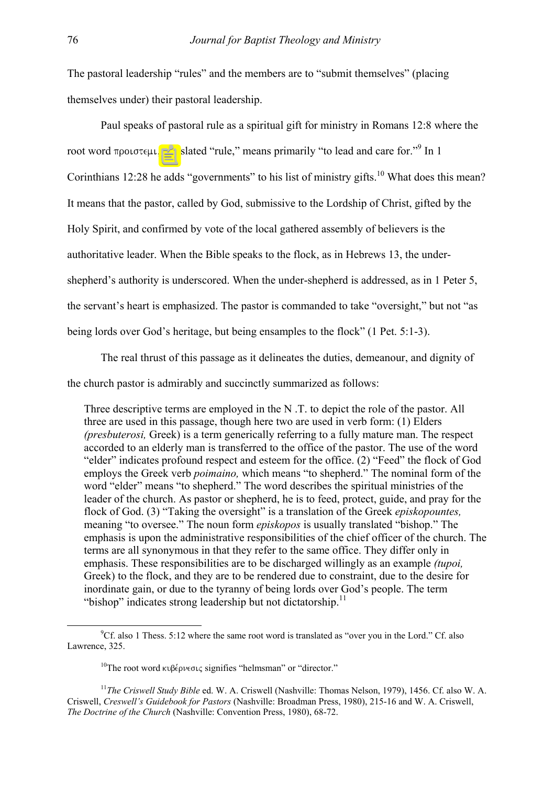The pastoral leadership "rules" and the members are to "submit themselves" (placing themselves under) their pastoral leadership.

Paul speaks of pastoral rule as a spiritual gift for ministry in Romans 12:8 where the root word  $\pi$ pointe interpretative translated "rule," means primarily "to lead and care for."<sup>[9](#page-2-0)</sup> In 1 Corinthians 12:28 he adds "governments" to his list of ministry gifts.<sup>10</sup> What does this mean? It means that the pastor, called by God, submissive to the Lordship of Christ, gifted by the Holy Spirit, and confirmed by vote of the local gathered assembly of believers is the authoritative leader. When the Bible speaks to the flock, as in Hebrews 13, the undershepherd's authority is underscored. When the under-shepherd is addressed, as in 1 Peter 5, the servant's heart is emphasized. The pastor is commanded to take "oversight," but not "as being lords over God's heritage, but being ensamples to the flock" (1 Pet. 5:1-3).

The real thrust of this passage as it delineates the duties, demeanour, and dignity of the church pastor is admirably and succinctly summarized as follows:

Three descriptive terms are employed in the N .T. to depict the role of the pastor. All three are used in this passage, though here two are used in verb form: (1) Elders *(presbuterosi,* Greek) is a term generically referring to a fully mature man. The respect accorded to an elderly man is transferred to the office of the pastor. The use of the word "elder" indicates profound respect and esteem for the office. (2) "Feed" the flock of God employs the Greek verb *poimaino,* which means "to shepherd." The nominal form of the word "elder" means "to shepherd." The word describes the spiritual ministries of the leader of the church. As pastor or shepherd, he is to feed, protect, guide, and pray for the flock of God. (3) "Taking the oversight" is a translation of the Greek *episkopountes,*  meaning "to oversee." The noun form *episkopos* is usually translated "bishop." The emphasis is upon the administrative responsibilities of the chief officer of the church. The terms are all synonymous in that they refer to the same office. They differ only in emphasis. These responsibilities are to be discharged willingly as an example *(tupoi,*  Greek) to the flock, and they are to be rendered due to constraint, due to the desire for inordinate gain, or due to the tyranny of being lords over God's people. The term "bishop" indicates strong leadership but not dictatorship. $<sup>11</sup>$  $<sup>11</sup>$  $<sup>11</sup>$ </sup>

<sup>9</sup>  ${}^9$ Cf. also 1 Thess. 5:12 where the same root word is translated as "over you in the Lord." Cf. also Lawrence, 325.

<span id="page-2-2"></span><span id="page-2-1"></span><span id="page-2-0"></span> $10$ The root word kuß $\epsilon$ oveote signifies "helmsman" or "director."

<sup>11</sup>*The Criswell Study Bible* ed. W. A. Criswell (Nashville: Thomas Nelson, 1979), 1456. Cf. also W. A. Criswell, *Creswell's Guidebook for Pastors* (Nashville: Broadman Press, 1980), 215-16 and W. A. Criswell, *The Doctrine of the Church* (Nashville: Convention Press, 1980), 68-72.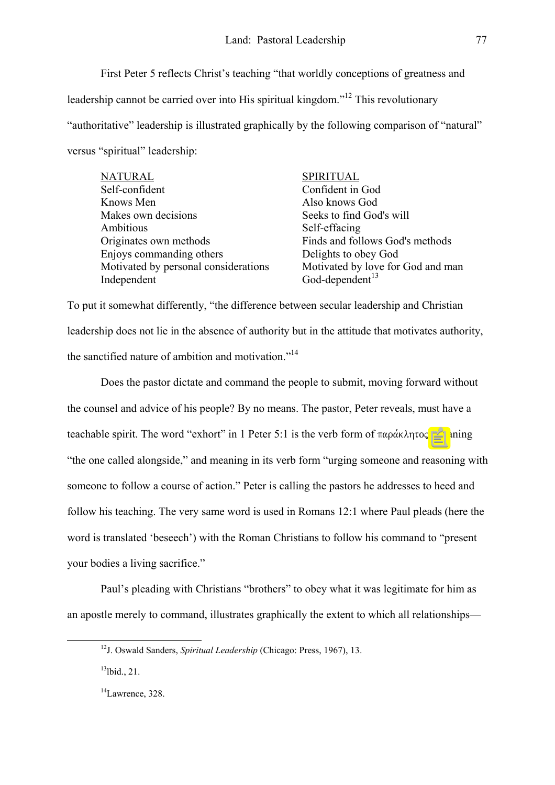First Peter 5 reflects Christ's teaching "that worldly conceptions of greatness and leadership cannot be carried over into His spiritual kingdom."<sup>12</sup> This revolutionary "authoritative" leadership is illustrated graphically by the following comparison of "natural" versus "spiritual" leadership:

| <b>NATURAL</b>                       | <b>SPIRITUAL</b>                  |
|--------------------------------------|-----------------------------------|
| Self-confident                       | Confident in God                  |
| Knows Men                            | Also knows God                    |
| Makes own decisions                  | Seeks to find God's will          |
| Ambitious                            | Self-effacing                     |
| Originates own methods               | Finds and follows God's methods   |
| Enjoys commanding others             | Delights to obey God              |
| Motivated by personal considerations | Motivated by love for God and man |
| Independent                          | God-dependent <sup>13</sup>       |

To put it somewhat differently, "the difference between secular leadership and Christian leadership does not lie in the absence of authority but in the attitude that motivates authority, the sanctified nature of ambition and motivation."<sup>[14](#page-3-2)</sup>

Does the pastor dictate and command the people to submit, moving forward without the counsel and advice of his people? By no means. The pastor, Peter reveals, must have a teachable spirit. The word "exhort" in 1 Peter 5:1 is the verb form of  $\pi \alpha \rho \alpha \kappa \lambda \eta \tau o \varsigma$ , meaning "the one called alongside," and meaning in its verb form "urging someone and reasoning with someone to follow a course of action." Peter is calling the pastors he addresses to heed and follow his teaching. The very same word is used in Romans 12:1 where Paul pleads (here the word is translated 'beseech') with the Roman Christians to follow his command to "present your bodies a living sacrifice."

Paul's pleading with Christians "brothers" to obey what it was legitimate for him as an apostle merely to command, illustrates graphically the extent to which all relationships—

<span id="page-3-0"></span>12J. Oswald Sanders, *Spiritual Leadership* (Chicago: Press, 1967), 13.

<span id="page-3-1"></span><sup>13</sup>lbid., 21.

<span id="page-3-2"></span><sup>&</sup>lt;sup>14</sup>Lawrence, 328.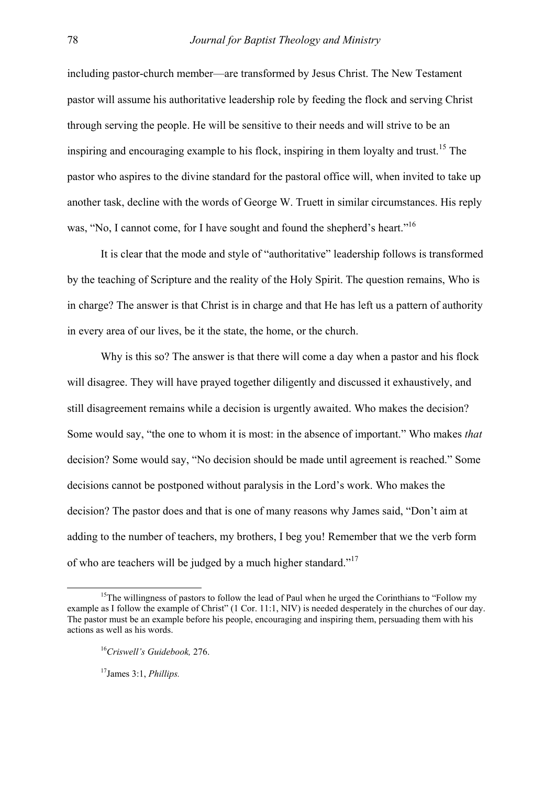including pastor-church member—are transformed by Jesus Christ. The New Testament pastor will assume his authoritative leadership role by feeding the flock and serving Christ through serving the people. He will be sensitive to their needs and will strive to be an inspiring and encouraging example to his flock, inspiring in them loyalty and trust.<sup>15</sup> The pastor who aspires to the divine standard for the pastoral office will, when invited to take up another task, decline with the words of George W. Truett in similar circumstances. His reply was, "No, I cannot come, for I have sought and found the shepherd's heart."<sup>16</sup>

It is clear that the mode and style of "authoritative" leadership follows is transformed by the teaching of Scripture and the reality of the Holy Spirit. The question remains, Who is in charge? The answer is that Christ is in charge and that He has left us a pattern of authority in every area of our lives, be it the state, the home, or the church.

Why is this so? The answer is that there will come a day when a pastor and his flock will disagree. They will have prayed together diligently and discussed it exhaustively, and still disagreement remains while a decision is urgently awaited. Who makes the decision? Some would say, "the one to whom it is most: in the absence of important." Who makes *that*  decision? Some would say, "No decision should be made until agreement is reached." Some decisions cannot be postponed without paralysis in the Lord's work. Who makes the decision? The pastor does and that is one of many reasons why James said, "Don't aim at adding to the number of teachers, my brothers, I beg you! Remember that we the verb form of who are teachers will be judged by a much higher standard."[17](#page-4-2)

<span id="page-4-0"></span><sup>&</sup>lt;sup>15</sup>The willingness of pastors to follow the lead of Paul when he urged the Corinthians to "Follow my example as I follow the example of Christ" (1 Cor. 11:1, NIV) is needed desperately in the churches of our day. The pastor must be an example before his people, encouraging and inspiring them, persuading them with his actions as well as his words.

<span id="page-4-1"></span><sup>16</sup>*Criswell's Guidebook,* 276.

<span id="page-4-2"></span><sup>17</sup>James 3:1, *Phillips.*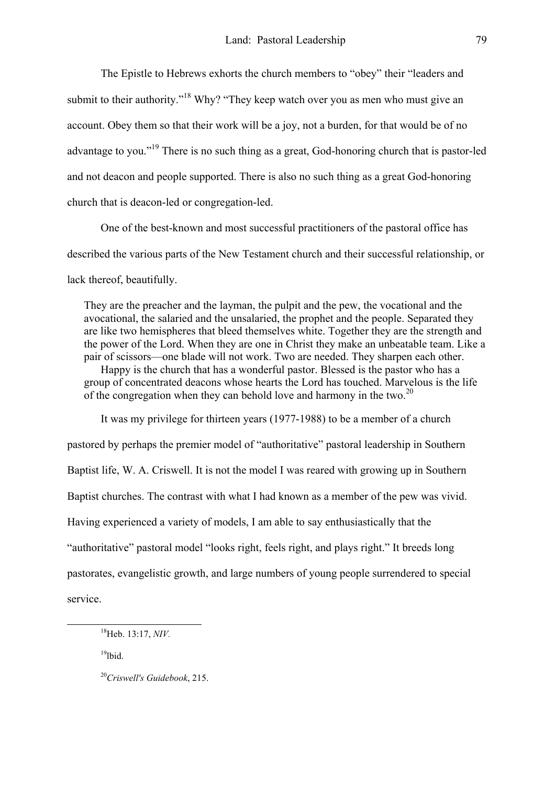The Epistle to Hebrews exhorts the church members to "obey" their "leaders and submit to their authority."<sup>18</sup> Why? "They keep watch over you as men who must give an account. Obey them so that their work will be a joy, not a burden, for that would be of no advantage to you.["19](#page-5-1) There is no such thing as a great, God-honoring church that is pastor-led and not deacon and people supported. There is also no such thing as a great God-honoring church that is deacon-led or congregation-led.

 One of the best-known and most successful practitioners of the pastoral office has described the various parts of the New Testament church and their successful relationship, or lack thereof, beautifully.

They are the preacher and the layman, the pulpit and the pew, the vocational and the avocational, the salaried and the unsalaried, the prophet and the people. Separated they are like two hemispheres that bleed themselves white. Together they are the strength and the power of the Lord. When they are one in Christ they make an unbeatable team. Like a pair of scissors—one blade will not work. Two are needed. They sharpen each other. Happy is the church that has a wonderful pastor. Blessed is the pastor who has a group of concentrated deacons whose hearts the Lord has touched. Marvelous is the life of the congregation when they can behold love and harmony in the two.<sup>20</sup>

It was my privilege for thirteen years (1977-1988) to be a member of a church pastored by perhaps the premier model of "authoritative" pastoral leadership in Southern Baptist life, W. A. Criswell. It is not the model I was reared with growing up in Southern Baptist churches. The contrast with what I had known as a member of the pew was vivid. Having experienced a variety of models, I am able to say enthusiastically that the "authoritative" pastoral model "looks right, feels right, and plays right." It breeds long pastorates, evangelistic growth, and large numbers of young people surrendered to special service.

<span id="page-5-1"></span> $19$ lbid.

<span id="page-5-2"></span><sup>20</sup>*Criswell's Guidebook*, 215.

<span id="page-5-0"></span>18Heb. 13:17, *NIV.*